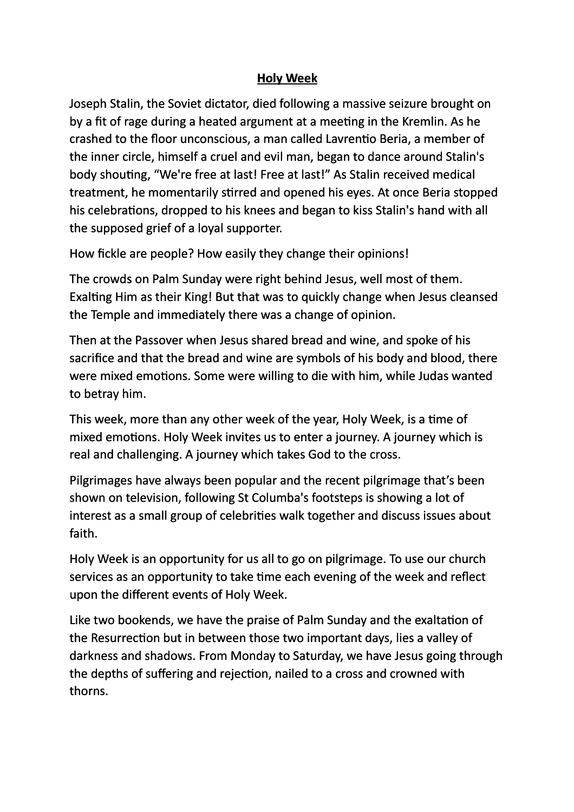## **Holy Week**

Joseph Stalin, the Soviet dictator, died following a massive seizure brought on by a fit of rage during a heated argument at a meeting in the Kremlin. As he crashed to the floor unconscious, a man called Lavrentio Beria, a member of the inner circle, himself a cruel and evil man, began to dance around Stalin's body shouting, "We're free at last! Free at last!" As Stalin received medical treatment, he momentarily stirred and opened his eyes. At once Beria stopped his celebrations, dropped to his knees and began to kiss Stalin's hand with all the supposed grief of a loyal supporter.

How fickle are people? How easily they change their opinions!

The crowds on Palm Sunday were right behind Jesus, well most of them. Exalting Him as their King! But that was to quickly change when Jesus cleansed the Temple and immediately there was a change of opinion.

Then at the Passover when Jesus shared bread and wine, and spoke of his sacrifice and that the bread and wine are symbols of his body and blood, there were mixed emotions. Some were willing to die with him, while Judas wanted to betray him.

This week, more than any other week of the year, Holy Week, is a time of mixed emotions. Holy Week invites us to enter a journey. A journey which is real and challenging. A journey which takes God to the cross.

Pilgrimages have always been popular and the recent pilgrimage that's been shown on television, following St Columba's footsteps is showing a lot of interest as a small group of celebrities walk together and discuss issues about faith.

Holy Week is an opportunity for us all to go on pilgrimage. To use our church services as an opportunity to take time each evening of the week and reflect upon the different events of Holy Week.

Like two bookends, we have the praise of Palm Sunday and the exaltation of the Resurrection but in between those two important days, lies a valley of darkness and shadows. From Monday to Saturday, we have Jesus going through the depths of suffering and rejection, nailed to a cross and crowned with thorns.